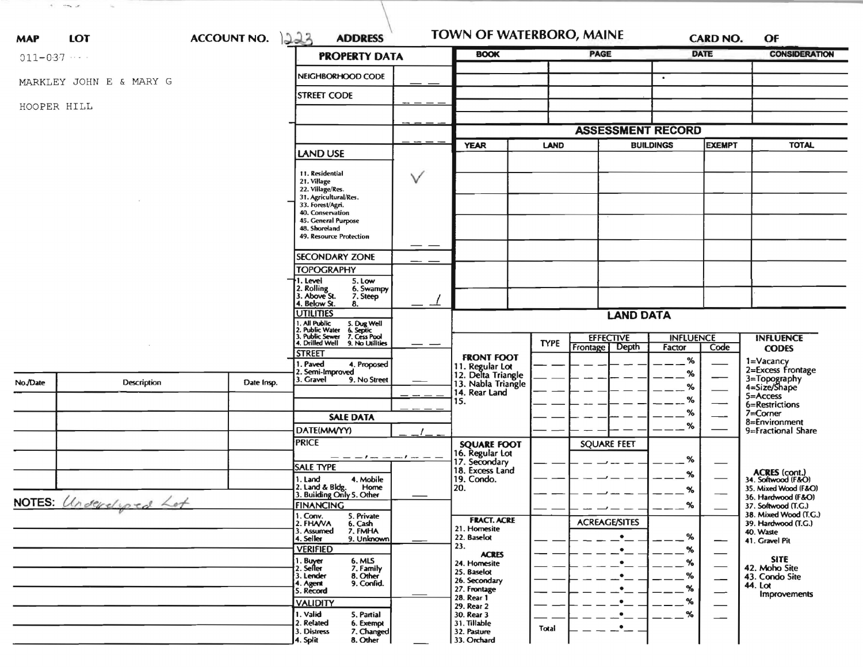| <b>MAP</b>             | LOT                     | <b>ACCOUNT NO.</b> | 223<br><b>ADDRESS</b>                                                                                                                                                                       |                                                                                  | <b>TOWN OF WATERBORO, MAINE</b>                     |                                    | OF                                           |  |  |
|------------------------|-------------------------|--------------------|---------------------------------------------------------------------------------------------------------------------------------------------------------------------------------------------|----------------------------------------------------------------------------------|-----------------------------------------------------|------------------------------------|----------------------------------------------|--|--|
| $011 - 037$            |                         |                    | <b>PROPERTY DATA</b>                                                                                                                                                                        | <b>BOOK</b>                                                                      | <b>PAGE</b>                                         | <b>DATE</b>                        | <b>CONSIDERATION</b>                         |  |  |
|                        | MARKLEY JOHN E & MARY G |                    | NEIGHBORHOOD CODE                                                                                                                                                                           |                                                                                  |                                                     | $\bullet$                          |                                              |  |  |
| HOOPER HILL            |                         |                    | <b>STREET CODE</b>                                                                                                                                                                          |                                                                                  |                                                     |                                    |                                              |  |  |
|                        |                         |                    |                                                                                                                                                                                             |                                                                                  | <b>ASSESSMENT RECORD</b>                            |                                    |                                              |  |  |
|                        |                         |                    |                                                                                                                                                                                             | <b>YEAR</b>                                                                      | <b>LAND</b>                                         | <b>BUILDINGS</b><br><b>EXEMPT</b>  | <b>TOTAL</b>                                 |  |  |
|                        |                         |                    | LAND USE                                                                                                                                                                                    |                                                                                  |                                                     |                                    |                                              |  |  |
|                        |                         |                    | 11. Residential<br>V<br>21. Village<br>22. Village/Res.<br>31. Agricultural/Res.<br>33. Forest/Agri.<br>40. Conservation<br>45. General Purpose<br>48. Shoreland<br>49. Resource Protection |                                                                                  |                                                     |                                    |                                              |  |  |
|                        |                         |                    | <b>SECONDARY ZONE</b>                                                                                                                                                                       |                                                                                  |                                                     |                                    |                                              |  |  |
|                        |                         |                    | <b>TOPOGRAPHY</b>                                                                                                                                                                           |                                                                                  |                                                     |                                    |                                              |  |  |
|                        |                         |                    | 1. Level<br>5. Low<br>2. Rolling<br>3. Above St.<br>6. Swampy<br>7. Steep<br>4. Below St.<br>8.                                                                                             |                                                                                  |                                                     |                                    |                                              |  |  |
|                        |                         |                    | <b>UTILITIES</b>                                                                                                                                                                            |                                                                                  | <b>LAND DATA</b>                                    |                                    |                                              |  |  |
|                        |                         |                    | 1. All Public<br>2. Public Water<br>3. Public Sewer<br>4. Drilled Well<br>5. Dug Well<br>6. Septic<br>7. Cess Pool                                                                          |                                                                                  |                                                     |                                    |                                              |  |  |
|                        |                         |                    | 9. No Utilities<br>$\overline{\phantom{0}}$                                                                                                                                                 |                                                                                  | <b>EFFECTIVE</b><br><b>TYPE</b><br>Frontage   Depth | <b>INFLUENCE</b><br>Factor<br>Code | <b>INFLUENCE</b><br><b>CODES</b>             |  |  |
|                        |                         |                    | <b>STREET</b><br>. Paved<br>4. Proposed<br>2. Semi-Improved<br>3. Gravel<br>9. No Street                                                                                                    | <b>FRONT FOOT</b><br>11. Regular Lot<br>12. Delta Triangle<br>13. Nabla Triangle |                                                     | %<br>%                             | 1=Vacancy<br>2=Excess Frontage               |  |  |
| No./Date               | Description             | Date Insp.         |                                                                                                                                                                                             | 14. Rear Land                                                                    |                                                     | %                                  | 3=Topography<br>4=Size/Shape<br>5=Access     |  |  |
|                        |                         |                    |                                                                                                                                                                                             | 15.                                                                              |                                                     | ℅                                  | 6=Restrictions                               |  |  |
|                        |                         |                    | <b>SALE DATA</b>                                                                                                                                                                            |                                                                                  |                                                     | %                                  | 7=Corner<br>8=Environment                    |  |  |
|                        |                         |                    | DATE(MM/YY)                                                                                                                                                                                 |                                                                                  |                                                     | %                                  | 9=Fractional Share                           |  |  |
|                        |                         |                    | <b>PRICE</b>                                                                                                                                                                                | <b>SQUARE FOOT</b>                                                               | <b>SQUARE FEET</b>                                  |                                    |                                              |  |  |
|                        |                         |                    | _ _ _ _ _ _ _ _ _ _<br><b>SALE TYPE</b>                                                                                                                                                     | 16. Regular Lot<br>17. Secondary                                                 |                                                     | %                                  |                                              |  |  |
|                        |                         |                    | 4. Mobile<br>1. Land                                                                                                                                                                        | 18. Excess Land<br>19. Condo.                                                    |                                                     | %                                  | ACRES (cont.)<br>34. Softwood (F&O)          |  |  |
|                        |                         |                    | 2. Land & Bldg. Home<br>3. Building Only 5. Other<br>Home                                                                                                                                   | 20.                                                                              |                                                     | %                                  | 35. Mixed Wood (F&O)<br>36. Hardwood (F&O)   |  |  |
| NOTES: Underclosed Lot |                         |                    | <b>FINANCING</b>                                                                                                                                                                            |                                                                                  | $\overline{\phantom{a}}$                            | %                                  | 37. Softwood (1.G.)                          |  |  |
|                        |                         |                    | 1. Conv.<br>5. Private<br>2. FHAVA<br>6. Cash                                                                                                                                               | <b>FRACT. ACRE</b><br>21. Homesite                                               | <b>ACREAGE/SITES</b>                                |                                    | 38. Mixed Wood (T.G.)<br>39. Hardwood (T.G.) |  |  |
|                        |                         |                    | 7. FMHA<br>3. Assumed<br>9. Unknown<br>4. Seller                                                                                                                                            | 22. Baselot                                                                      | $\bullet$                                           | %<br>—                             | 40. Waste<br>41. Gravel Pit                  |  |  |
|                        |                         |                    | <b>VERIFIED</b>                                                                                                                                                                             | 23.<br><b>ACRES</b>                                                              | $\bullet$                                           | %                                  |                                              |  |  |
|                        |                         |                    | 1. Buyer<br>6. MLS<br>2. Seller<br>7. Family                                                                                                                                                | 24. Homesite<br>25. Baselot                                                      |                                                     | %                                  | <b>SITE</b><br>42. Moho Site                 |  |  |
|                        |                         |                    | 3. Lender<br>8. Other<br>9. Confid.<br>4. Agent                                                                                                                                             | 26. Secondary                                                                    |                                                     | %                                  | 43. Condo Site<br>44. Lot                    |  |  |
|                        |                         |                    | 5. Record                                                                                                                                                                                   | 27. Frontage<br>28. Rear 1                                                       |                                                     | %<br>%                             | Improvements                                 |  |  |
|                        |                         |                    | <b>VALIDITY</b><br>1. Valid<br>5. Partial                                                                                                                                                   | 29. Rear 2<br>30. Rear 3                                                         |                                                     | $\%$                               |                                              |  |  |
|                        |                         |                    | 2. Related<br>6. Exempt                                                                                                                                                                     | 31. Tillable                                                                     | $\bullet$<br>Total                                  |                                    |                                              |  |  |
|                        |                         |                    | 3. Distress<br>7. Changed<br>8. Other<br>4. Split                                                                                                                                           | 32. Pasture<br>33. Orchard                                                       |                                                     |                                    |                                              |  |  |

 $\mathcal{A}^{\pm}$  . Then, and the  $\mathcal{A}^{\pm}$  , and the  $\mathcal{A}^{\pm}$